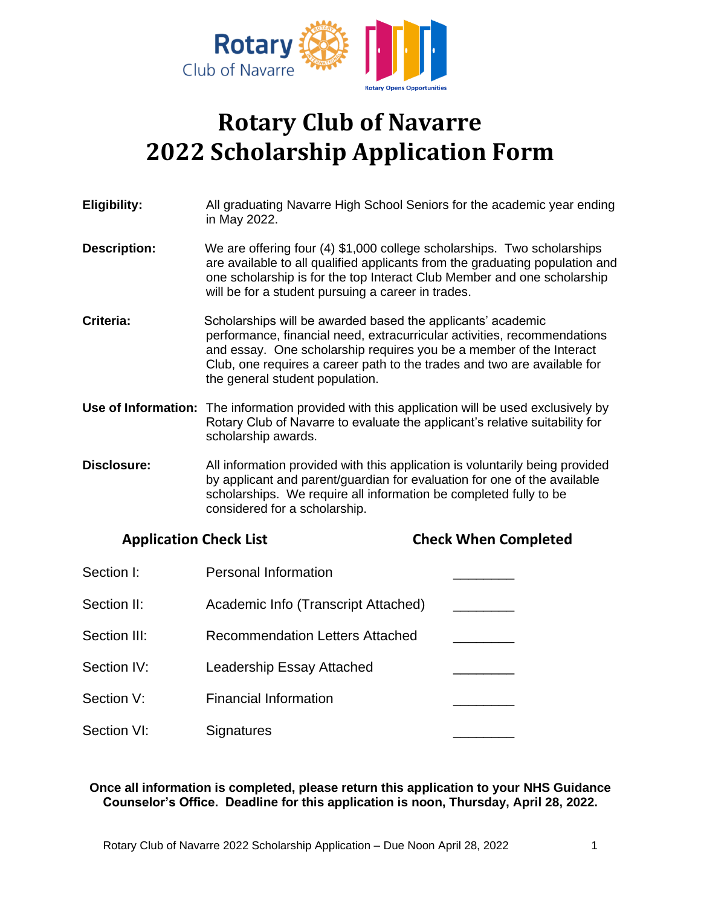

# **Rotary Club of Navarre 2022 Scholarship Application Form**

| Eligibility:                  | All graduating Navarre High School Seniors for the academic year ending<br>in May 2022.                                                                                                                                                                                                                                       |                             |  |
|-------------------------------|-------------------------------------------------------------------------------------------------------------------------------------------------------------------------------------------------------------------------------------------------------------------------------------------------------------------------------|-----------------------------|--|
| <b>Description:</b>           | We are offering four (4) \$1,000 college scholarships. Two scholarships<br>are available to all qualified applicants from the graduating population and<br>one scholarship is for the top Interact Club Member and one scholarship<br>will be for a student pursuing a career in trades.                                      |                             |  |
| Criteria:                     | Scholarships will be awarded based the applicants' academic<br>performance, financial need, extracurricular activities, recommendations<br>and essay. One scholarship requires you be a member of the Interact<br>Club, one requires a career path to the trades and two are available for<br>the general student population. |                             |  |
|                               | <b>Use of Information:</b> The information provided with this application will be used exclusively by<br>Rotary Club of Navarre to evaluate the applicant's relative suitability for<br>scholarship awards.                                                                                                                   |                             |  |
| <b>Disclosure:</b>            | All information provided with this application is voluntarily being provided<br>by applicant and parent/guardian for evaluation for one of the available<br>scholarships. We require all information be completed fully to be<br>considered for a scholarship.                                                                |                             |  |
| <b>Application Check List</b> |                                                                                                                                                                                                                                                                                                                               | <b>Check When Completed</b> |  |
| Section I:                    | <b>Personal Information</b>                                                                                                                                                                                                                                                                                                   |                             |  |
| Section II:                   | Academic Info (Transcript Attached)                                                                                                                                                                                                                                                                                           |                             |  |
| Section III:                  | <b>Recommendation Letters Attached</b>                                                                                                                                                                                                                                                                                        |                             |  |
| Section IV:                   | <b>Leadership Essay Attached</b>                                                                                                                                                                                                                                                                                              |                             |  |
| Section V:                    | <b>Financial Information</b>                                                                                                                                                                                                                                                                                                  |                             |  |
| Section VI:                   | Signatures                                                                                                                                                                                                                                                                                                                    |                             |  |

#### **Once all information is completed, please return this application to your NHS Guidance Counselor's Office. Deadline for this application is noon, Thursday, April 28, 2022.**

Rotary Club of Navarre 2022 Scholarship Application – Due Noon April 28, 2022 1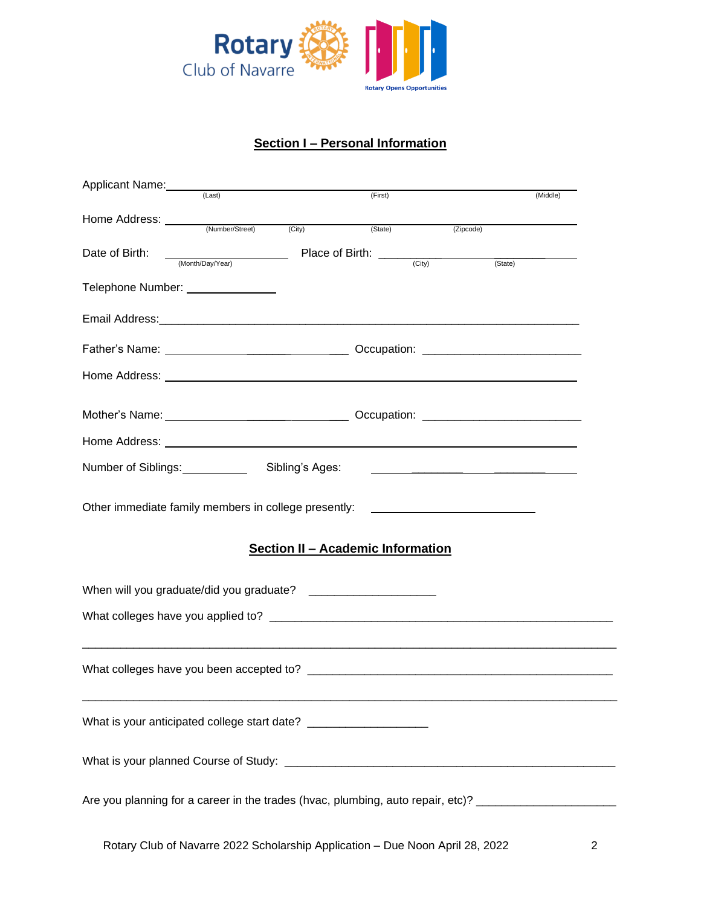

## **Section I – Personal Information**

| Applicant Name:                                                                                     | (Last)                                                                        |                                          | (First) |                                     |                                               | (Middle) |
|-----------------------------------------------------------------------------------------------------|-------------------------------------------------------------------------------|------------------------------------------|---------|-------------------------------------|-----------------------------------------------|----------|
|                                                                                                     |                                                                               |                                          |         |                                     |                                               |          |
|                                                                                                     |                                                                               |                                          | (State) |                                     | (Zipcode)                                     |          |
| Date of Birth:                                                                                      | (Month/Day/Year)                                                              |                                          |         | Place of Birth: $\frac{C(t)}{C(t)}$ |                                               |          |
|                                                                                                     |                                                                               |                                          |         |                                     | (State)                                       |          |
| Telephone Number: ______________                                                                    |                                                                               |                                          |         |                                     |                                               |          |
|                                                                                                     |                                                                               |                                          |         |                                     |                                               |          |
|                                                                                                     |                                                                               |                                          |         |                                     |                                               |          |
|                                                                                                     |                                                                               |                                          |         |                                     |                                               |          |
|                                                                                                     |                                                                               |                                          |         |                                     |                                               |          |
|                                                                                                     |                                                                               |                                          |         |                                     |                                               |          |
|                                                                                                     |                                                                               |                                          |         |                                     |                                               |          |
|                                                                                                     |                                                                               |                                          |         |                                     |                                               |          |
| Number of Siblings: <u>compare and the Number</u>                                                   |                                                                               | Sibling's Ages:                          |         |                                     | <u> 1980 - Andrea Andrew Maria (h. 1980).</u> |          |
| Other immediate family members in college presently: ___________________________                    |                                                                               |                                          |         |                                     |                                               |          |
|                                                                                                     |                                                                               |                                          |         |                                     |                                               |          |
|                                                                                                     |                                                                               | <b>Section II - Academic Information</b> |         |                                     |                                               |          |
|                                                                                                     |                                                                               |                                          |         |                                     |                                               |          |
|                                                                                                     |                                                                               |                                          |         |                                     |                                               |          |
|                                                                                                     |                                                                               |                                          |         |                                     |                                               |          |
|                                                                                                     |                                                                               |                                          |         |                                     |                                               |          |
|                                                                                                     |                                                                               |                                          |         |                                     |                                               |          |
|                                                                                                     |                                                                               |                                          |         |                                     |                                               |          |
|                                                                                                     |                                                                               |                                          |         |                                     |                                               |          |
| What is your anticipated college start date? ___________________________________                    |                                                                               |                                          |         |                                     |                                               |          |
|                                                                                                     |                                                                               |                                          |         |                                     |                                               |          |
|                                                                                                     |                                                                               |                                          |         |                                     |                                               |          |
|                                                                                                     |                                                                               |                                          |         |                                     |                                               |          |
| Are you planning for a career in the trades (hvac, plumbing, auto repair, etc)? ___________________ |                                                                               |                                          |         |                                     |                                               |          |
|                                                                                                     |                                                                               |                                          |         |                                     |                                               |          |
|                                                                                                     | Rotary Club of Navarre 2022 Scholarship Application - Due Noon April 28, 2022 |                                          |         |                                     |                                               | 2        |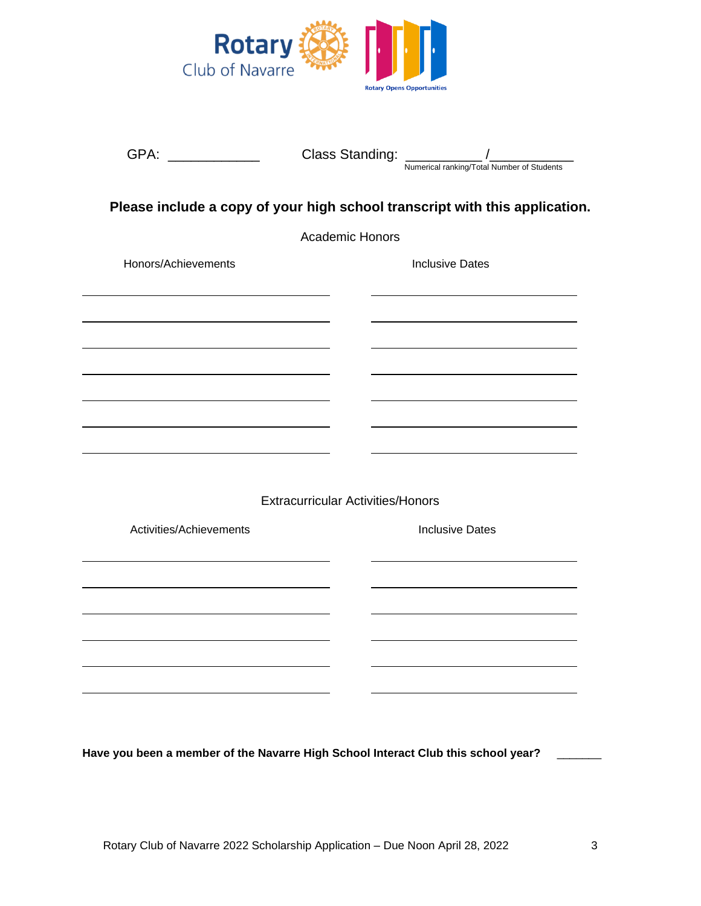

| GPA:                    | <b>Class Standing:</b>                   | Numerical ranking/Total Number of Students                                  |
|-------------------------|------------------------------------------|-----------------------------------------------------------------------------|
|                         |                                          | Please include a copy of your high school transcript with this application. |
|                         | <b>Academic Honors</b>                   |                                                                             |
| Honors/Achievements     |                                          | <b>Inclusive Dates</b>                                                      |
|                         |                                          |                                                                             |
|                         |                                          |                                                                             |
|                         |                                          |                                                                             |
|                         |                                          |                                                                             |
|                         |                                          |                                                                             |
|                         |                                          |                                                                             |
|                         | <b>Extracurricular Activities/Honors</b> |                                                                             |
| Activities/Achievements |                                          | <b>Inclusive Dates</b>                                                      |
|                         |                                          |                                                                             |
|                         |                                          |                                                                             |
|                         |                                          |                                                                             |
|                         |                                          |                                                                             |
|                         |                                          |                                                                             |
|                         |                                          |                                                                             |

**Have you been a member of the Navarre High School Interact Club this school year?** \_\_\_\_\_\_\_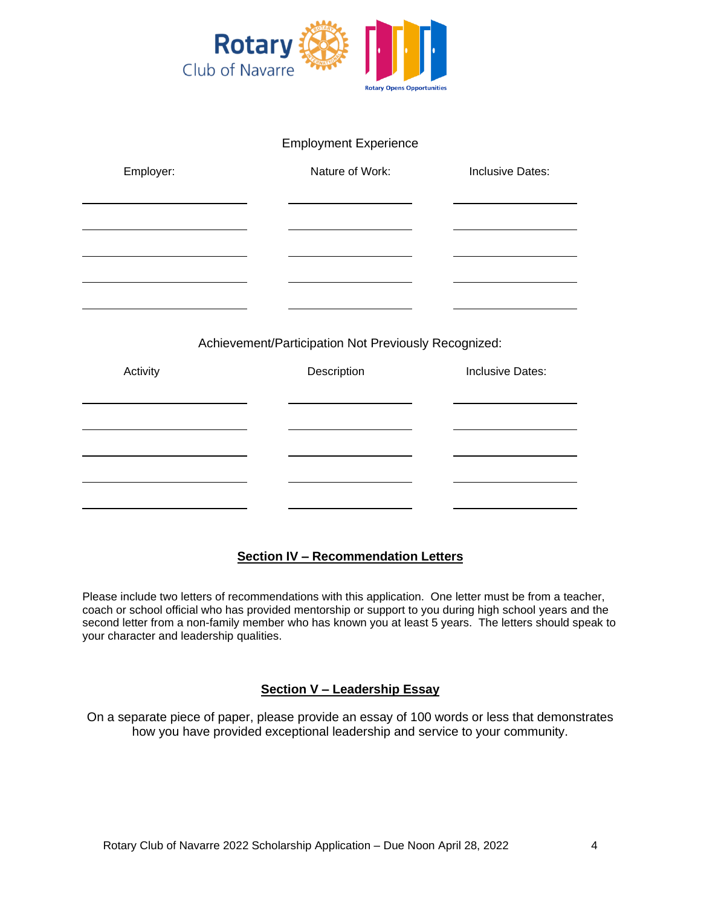

| <b>Employment Experience</b> |  |  |
|------------------------------|--|--|
|                              |  |  |

| Employer:                                            | Nature of Work: | Inclusive Dates: |  |  |
|------------------------------------------------------|-----------------|------------------|--|--|
|                                                      |                 |                  |  |  |
|                                                      |                 |                  |  |  |
|                                                      |                 |                  |  |  |
|                                                      |                 |                  |  |  |
|                                                      |                 |                  |  |  |
| Achievement/Participation Not Previously Recognized: |                 |                  |  |  |
| Activity                                             | Description     | Inclusive Dates: |  |  |
|                                                      |                 |                  |  |  |
|                                                      |                 |                  |  |  |
|                                                      |                 |                  |  |  |

### **Section IV – Recommendation Letters**

Please include two letters of recommendations with this application. One letter must be from a teacher, coach or school official who has provided mentorship or support to you during high school years and the second letter from a non-family member who has known you at least 5 years. The letters should speak to your character and leadership qualities.

#### **Section V – Leadership Essay**

On a separate piece of paper, please provide an essay of 100 words or less that demonstrates how you have provided exceptional leadership and service to your community.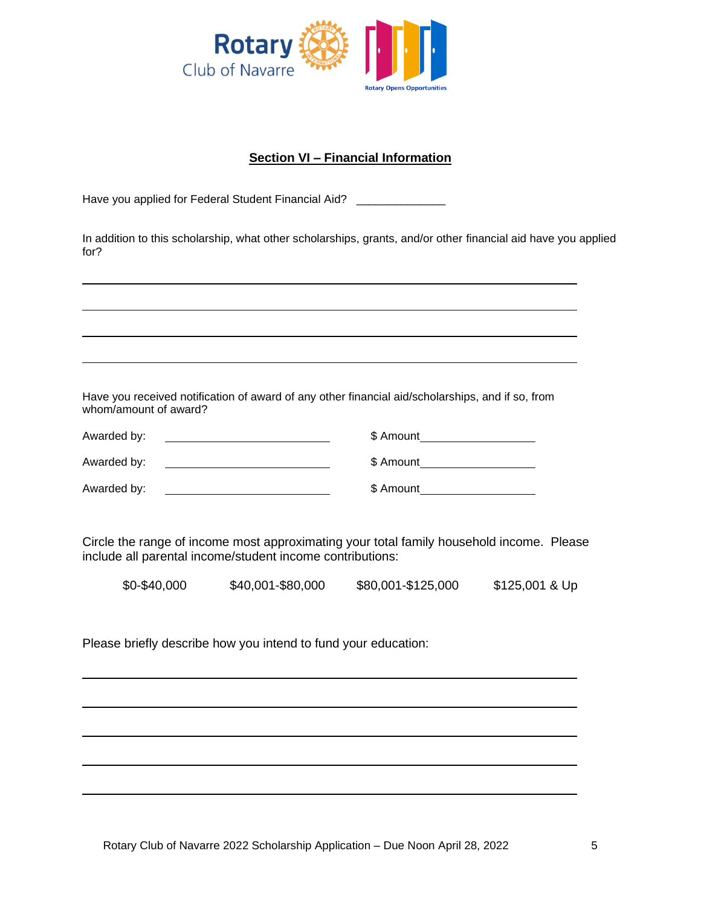

### **Section VI – Financial Information**

Have you applied for Federal Student Financial Aid? \_\_\_\_\_\_\_\_\_\_\_\_\_\_\_

In addition to this scholarship, what other scholarships, grants, and/or other financial aid have you applied for?

Have you received notification of award of any other financial aid/scholarships, and if so, from whom/amount of award?

| Awarded by: | \$ Amount |
|-------------|-----------|
| Awarded by: | \$ Amount |
| Awarded by: | \$ Amount |

Circle the range of income most approximating your total family household income. Please include all parental income/student income contributions:

|  | \$0-\$40,000 | \$40,001-\$80,000 | \$80,001-\$125,000 | \$125,001 & Up |
|--|--------------|-------------------|--------------------|----------------|
|--|--------------|-------------------|--------------------|----------------|

Please briefly describe how you intend to fund your education: